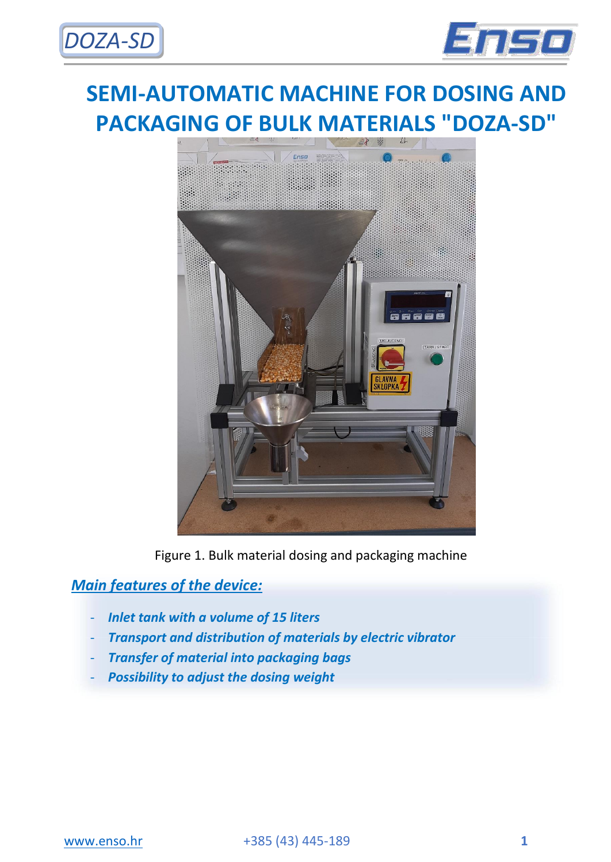



# **SEMI-AUTOMATIC MACHINE FOR DOSING AND PACKAGING OF BULK MATERIALS "DOZA-SD"**



Figure 1. Bulk material dosing and packaging machine

## *Main features of the device:*

- *Inlet tank with a volume of 15 liters*
- *Transport and distribution of materials by electric vibrator*
- *Transfer of material into packaging bags*
- *Possibility to adjust the dosing weight*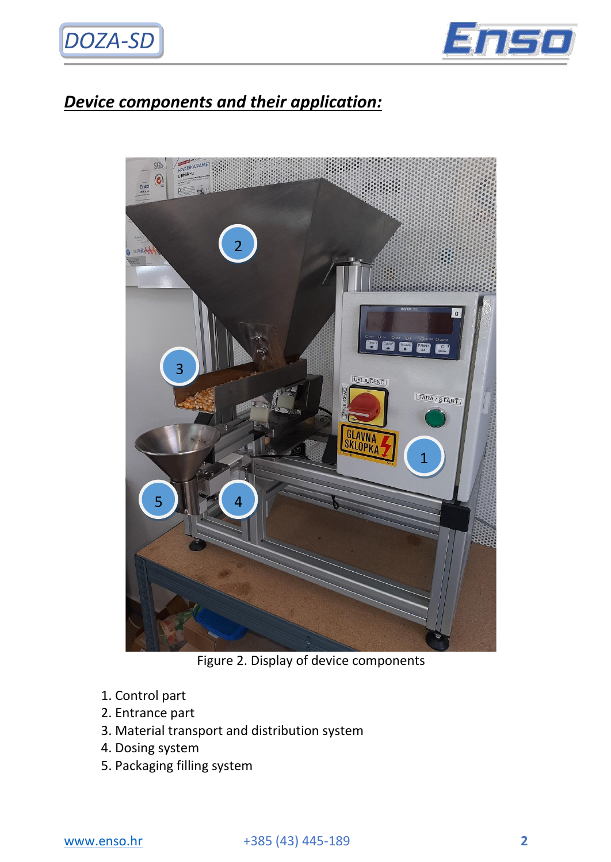



# *Device components and their application:*



Figure 2. Display of device components

- 1. Control part
- 2. Entrance part
- 3. Material transport and distribution system
- 4. Dosing system
- 5. Packaging filling system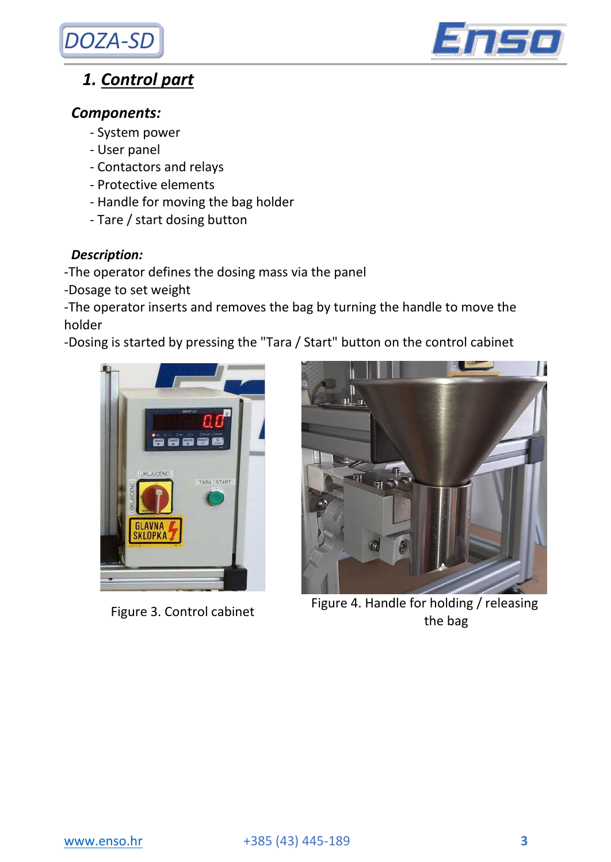



## *1. Control part*

### *Components:*

- System power
- User panel
- Contactors and relays
- Protective elements
- Handle for moving the bag holder
- Tare / start dosing button

#### *Description:*

-The operator defines the dosing mass via the panel

-Dosage to set weight

-The operator inserts and removes the bag by turning the handle to move the holder

-Dosing is started by pressing the "Tara / Start" button on the control cabinet





Figure 4. Handle for holding / releasing<br>
Figure 3. Control cabinet the bag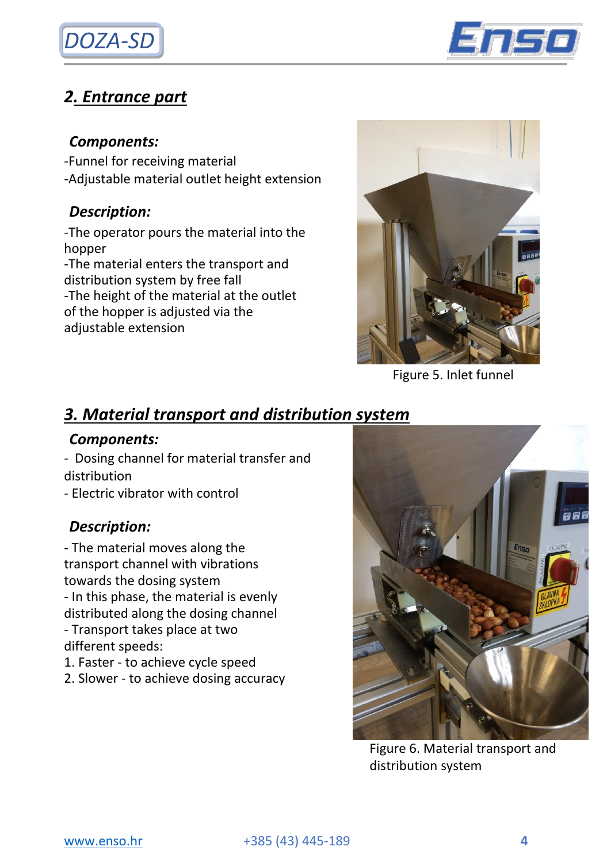



# *2. Entrance part*

### *Components:*

- -Funnel for receiving material
- -Adjustable material outlet height extension

## *Description:*

-The operator pours the material into the hopper -The material enters the transport and distribution system by free fall

-The height of the material at the outlet of the hopper is adjusted via the adjustable extension



Figure 5. Inlet funnel

# *3. Material transport and distribution system*

### *Components:*

- Dosing channel for material transfer and distribution

- Electric vibrator with control

## *Description:*

- The material moves along the transport channel with vibrations towards the dosing system - In this phase, the material is evenly distributed along the dosing channel - Transport takes place at two different speeds:

1. Faster - to achieve cycle speed

2. Slower - to achieve dosing accuracy



Figure 6. Material transport and distribution system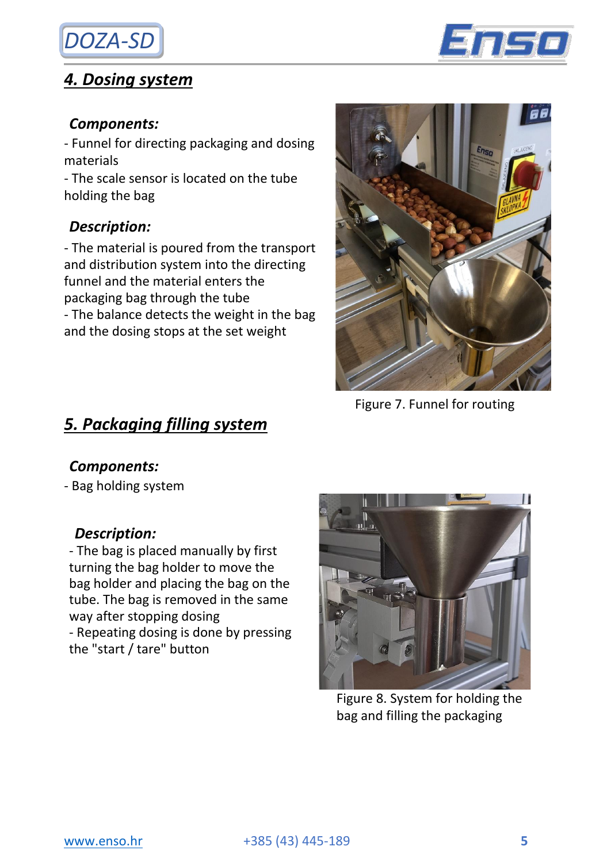# *DOZA-SD*

## *4. Dosing system*



### *Components:*

- Funnel for directing packaging and dosing materials

- The scale sensor is located on the tube holding the bag

### *Description:*

- The material is poured from the transport and distribution system into the directing funnel and the material enters the packaging bag through the tube - The balance detects the weight in the bag and the dosing stops at the set weight



### *Components:*

- Bag holding system

### *Description:*

- The bag is placed manually by first turning the bag holder to move the bag holder and placing the bag on the tube. The bag is removed in the same way after stopping dosing - Repeating dosing is done by pressing the "start / tare" button



Figure 7. Funnel for routing

Figure 8. System for holding the bag and filling the packaging